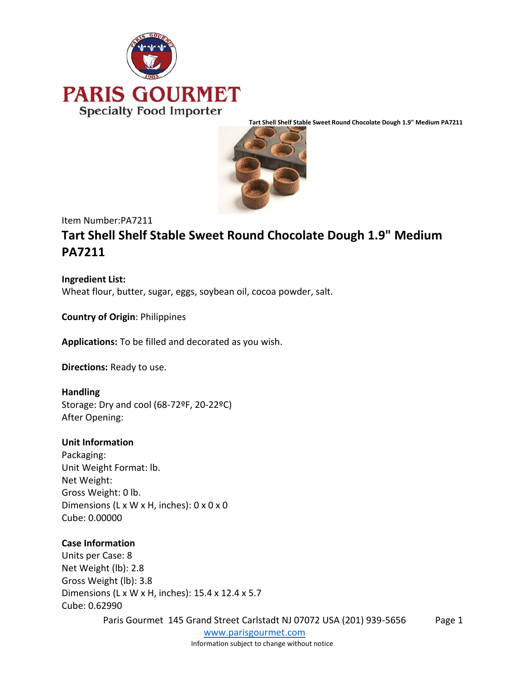



Item Number:PA7211

# **Tart Shell Shelf Stable Sweet Round Chocolate Dough 1.9" Medium PA7211**

**Ingredient List:** Wheat flour, butter, sugar, eggs, soybean oil, cocoa powder, salt.

**Country of Origin**: Philippines

**Applications:** To be filled and decorated as you wish.

**Directions:** Ready to use.

### **Handling**

Storage: Dry and cool (68-72ºF, 20-22ºC) After Opening:

### **Unit Information**

Packaging: Unit Weight Format: lb. Net Weight: Gross Weight: 0 lb. Dimensions (L x W x H, inches): 0 x 0 x 0 Cube: 0.00000

### **Case Information**

Units per Case: 8 Net Weight (lb): 2.8 Gross Weight (lb): 3.8 Dimensions (L x W x H, inches): 15.4 x 12.4 x 5.7 Cube: 0.62990

Paris Gourmet 145 Grand Street Carlstadt NJ 07072 USA (201) 939-5656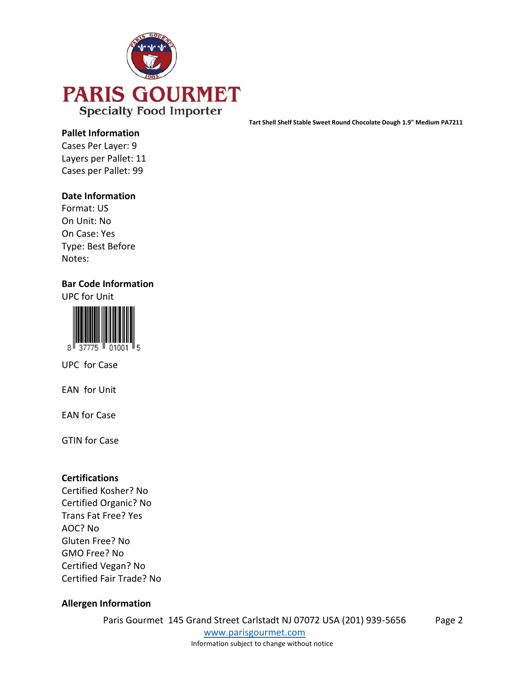

#### **Pallet Information**

Cases Per Layer: 9 Layers per Pallet: 11 Cases per Pallet: 99

### **Date Information**

Format: US On Unit: No On Case: Yes Type: Best Before Notes:

### **Bar Code Information**

UPC for Unit



UPC for Case

EAN for Unit

EAN for Case

GTIN for Case

### **Certifications**

Certified Kosher? No Certified Organic? No Trans Fat Free? Yes AOC? No Gluten Free? No GMO Free? No Certified Vegan? No Certified Fair Trade? No

### **Allergen Information**

Paris Gourmet 145 Grand Street Carlstadt NJ 07072 USA (201) 939-5656

[www.parisgourmet.com](http://www.parisgourmet.com/) Information subject to change without notice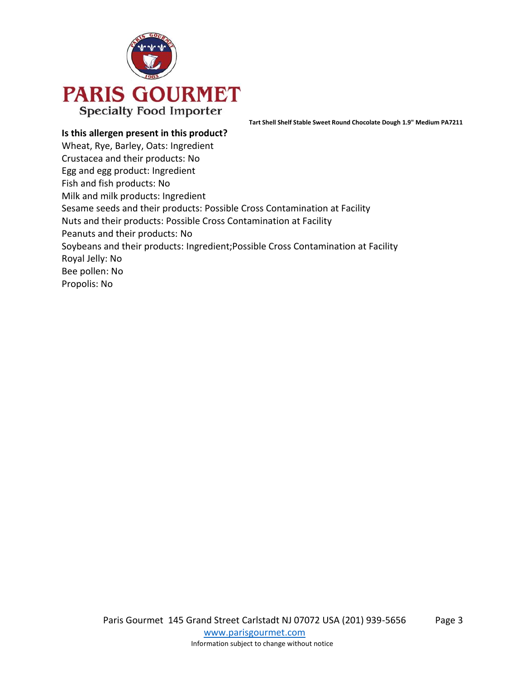

**Is this allergen present in this product?** Wheat, Rye, Barley, Oats: Ingredient Crustacea and their products: No Egg and egg product: Ingredient Fish and fish products: No Milk and milk products: Ingredient Sesame seeds and their products: Possible Cross Contamination at Facility Nuts and their products: Possible Cross Contamination at Facility Peanuts and their products: No Soybeans and their products: Ingredient;Possible Cross Contamination at Facility Royal Jelly: No Bee pollen: No Propolis: No